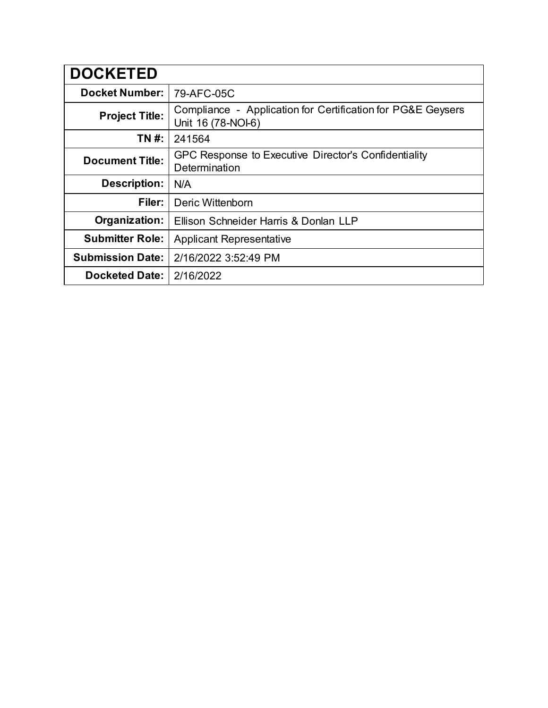| <b>DOCKETED</b>         |                                                                                   |
|-------------------------|-----------------------------------------------------------------------------------|
| <b>Docket Number:</b>   | 79-AFC-05C                                                                        |
| <b>Project Title:</b>   | Compliance - Application for Certification for PG&E Geysers<br>Unit 16 (78-NOI-6) |
| TN #:                   | 241564                                                                            |
| <b>Document Title:</b>  | GPC Response to Executive Director's Confidentiality<br>Determination             |
| <b>Description:</b>     | N/A                                                                               |
| Filer:                  | Deric Wittenborn                                                                  |
| Organization:           | Ellison Schneider Harris & Donlan LLP                                             |
| <b>Submitter Role:</b>  | <b>Applicant Representative</b>                                                   |
| <b>Submission Date:</b> | 2/16/2022 3:52:49 PM                                                              |
| <b>Docketed Date:</b>   | 2/16/2022                                                                         |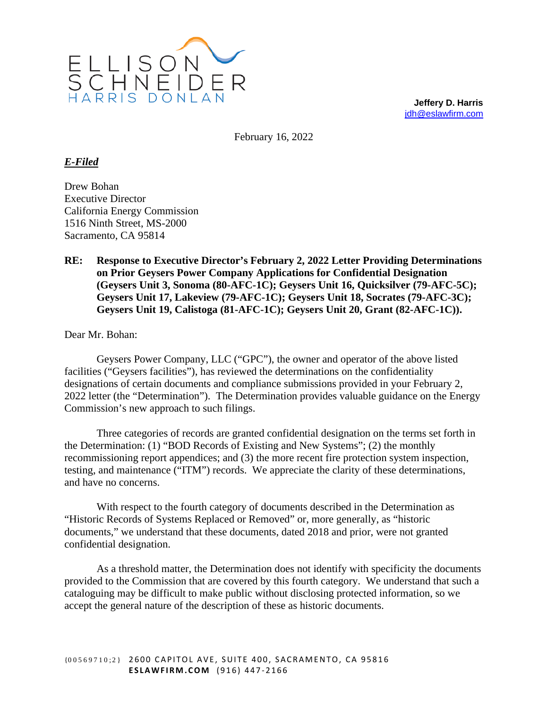

**Jeffery D. Harris** [jdh@eslawfirm.com](mailto:jdh@eslawfirm.com)

February 16, 2022

## *E-Filed*

Drew Bohan Executive Director California Energy Commission 1516 Ninth Street, MS-2000 Sacramento, CA 95814

## **RE: Response to Executive Director's February 2, 2022 Letter Providing Determinations on Prior Geysers Power Company Applications for Confidential Designation (Geysers Unit 3, Sonoma (80-AFC-1C); Geysers Unit 16, Quicksilver (79-AFC-5C); Geysers Unit 17, Lakeview (79-AFC-1C); Geysers Unit 18, Socrates (79-AFC-3C); Geysers Unit 19, Calistoga (81-AFC-1C); Geysers Unit 20, Grant (82-AFC-1C)).**

Dear Mr. Bohan:

Geysers Power Company, LLC ("GPC"), the owner and operator of the above listed facilities ("Geysers facilities"), has reviewed the determinations on the confidentiality designations of certain documents and compliance submissions provided in your February 2, 2022 letter (the "Determination"). The Determination provides valuable guidance on the Energy Commission's new approach to such filings.

Three categories of records are granted confidential designation on the terms set forth in the Determination: (1) "BOD Records of Existing and New Systems"; (2) the monthly recommissioning report appendices; and (3) the more recent fire protection system inspection, testing, and maintenance ("ITM") records. We appreciate the clarity of these determinations, and have no concerns.

With respect to the fourth category of documents described in the Determination as "Historic Records of Systems Replaced or Removed" or, more generally, as "historic documents," we understand that these documents, dated 2018 and prior, were not granted confidential designation.

As a threshold matter, the Determination does not identify with specificity the documents provided to the Commission that are covered by this fourth category. We understand that such a cataloguing may be difficult to make public without disclosing protected information, so we accept the general nature of the description of these as historic documents.